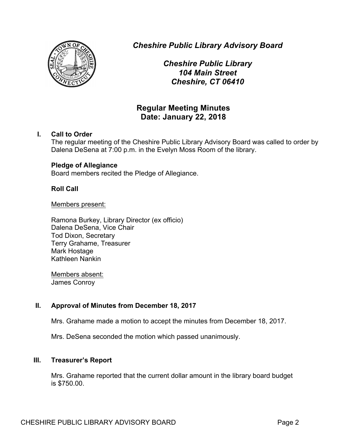

*Cheshire Public Library Advisory Board*

*Cheshire Public Library 104 Main Street Cheshire, CT 06410*

# **Regular Meeting Minutes Date: January 22, 2018**

# **I. Call to Order**

The regular meeting of the Cheshire Public Library Advisory Board was called to order by Dalena DeSena at 7:00 p.m. in the Evelyn Moss Room of the library.

# **Pledge of Allegiance**

Board members recited the Pledge of Allegiance.

# **Roll Call**

Members present:

Ramona Burkey, Library Director (ex officio) Dalena DeSena, Vice Chair Tod Dixon, Secretary Terry Grahame, Treasurer Mark Hostage Kathleen Nankin

Members absent: James Conroy

# **II. Approval of Minutes from December 18, 2017**

Mrs. Grahame made a motion to accept the minutes from December 18, 2017.

Mrs. DeSena seconded the motion which passed unanimously.

# **III. Treasurer's Report**

Mrs. Grahame reported that the current dollar amount in the library board budget is \$750.00.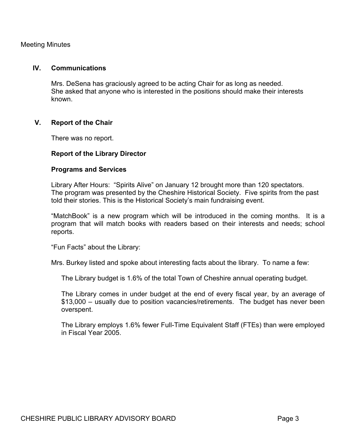Meeting Minutes

### **IV. Communications**

Mrs. DeSena has graciously agreed to be acting Chair for as long as needed. She asked that anyone who is interested in the positions should make their interests known.

# **V. Report of the Chair**

There was no report.

### **Report of the Library Director**

#### **Programs and Services**

Library After Hours: "Spirits Alive" on January 12 brought more than 120 spectators. The program was presented by the Cheshire Historical Society. Five spirits from the past told their stories. This is the Historical Society's main fundraising event.

"MatchBook" is a new program which will be introduced in the coming months. It is a program that will match books with readers based on their interests and needs; school reports.

"Fun Facts" about the Library:

Mrs. Burkey listed and spoke about interesting facts about the library. To name a few:

The Library budget is 1.6% of the total Town of Cheshire annual operating budget.

The Library comes in under budget at the end of every fiscal year, by an average of \$13,000 – usually due to position vacancies/retirements. The budget has never been overspent.

The Library employs 1.6% fewer Full-Time Equivalent Staff (FTEs) than were employed in Fiscal Year 2005.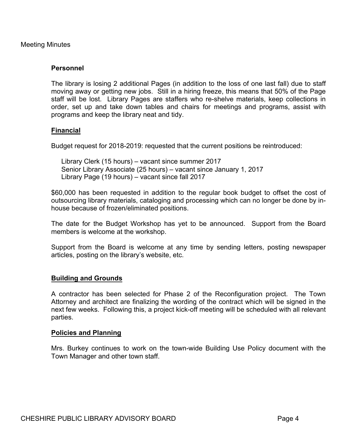Meeting Minutes

# **Personnel**

The library is losing 2 additional Pages (in addition to the loss of one last fall) due to staff moving away or getting new jobs. Still in a hiring freeze, this means that 50% of the Page staff will be lost. Library Pages are staffers who re-shelve materials, keep collections in order, set up and take down tables and chairs for meetings and programs, assist with programs and keep the library neat and tidy.

# **Financial**

Budget request for 2018-2019: requested that the current positions be reintroduced:

Library Clerk (15 hours) – vacant since summer 2017 Senior Library Associate (25 hours) – vacant since January 1, 2017 Library Page (19 hours) – vacant since fall 2017

\$60,000 has been requested in addition to the regular book budget to offset the cost of outsourcing library materials, cataloging and processing which can no longer be done by inhouse because of frozen/eliminated positions.

The date for the Budget Workshop has yet to be announced. Support from the Board members is welcome at the workshop.

Support from the Board is welcome at any time by sending letters, posting newspaper articles, posting on the library's website, etc.

# **Building and Grounds**

A contractor has been selected for Phase 2 of the Reconfiguration project. The Town Attorney and architect are finalizing the wording of the contract which will be signed in the next few weeks. Following this, a project kick-off meeting will be scheduled with all relevant parties.

#### **Policies and Planning**

Mrs. Burkey continues to work on the town-wide Building Use Policy document with the Town Manager and other town staff.